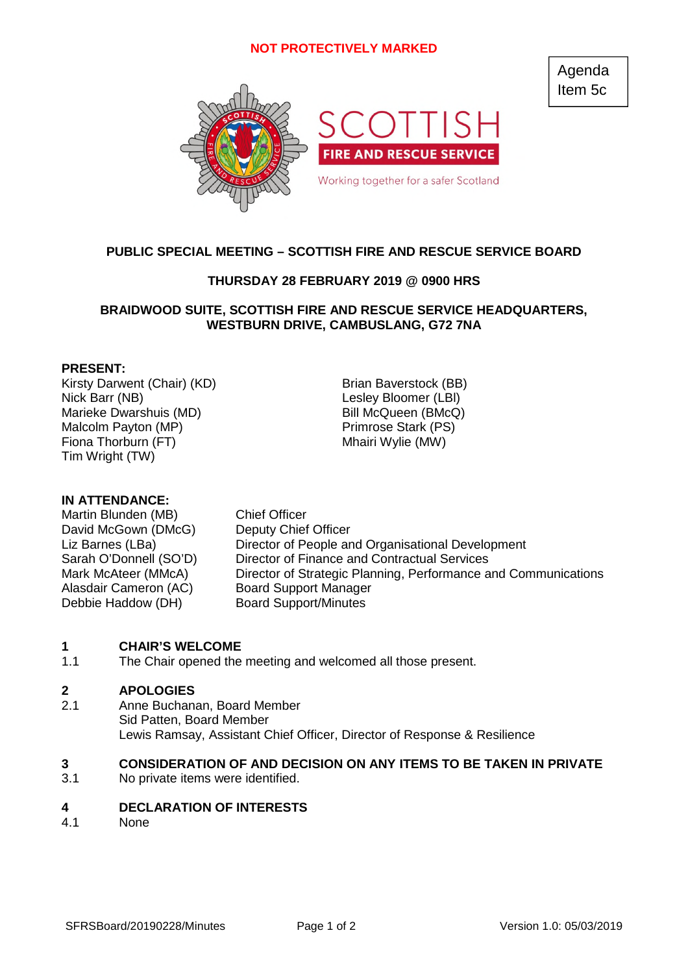## **NOT PROTECTIVELY MARKED**

Agenda Item 5c



# **PUBLIC SPECIAL MEETING – SCOTTISH FIRE AND RESCUE SERVICE BOARD**

## **THURSDAY 28 FEBRUARY 2019 @ 0900 HRS**

### **BRAIDWOOD SUITE, SCOTTISH FIRE AND RESCUE SERVICE HEADQUARTERS, WESTBURN DRIVE, CAMBUSLANG, G72 7NA**

### **PRESENT:**

Kirsty Darwent (Chair) (KD) Brian Baverstock (BB) Nick Barr (NB) Lesley Bloomer (LBl) Marieke Dwarshuis (MD) Bill McQueen (BMcQ) Malcolm Payton (MP) Primrose Stark (PS) Fiona Thorburn (FT) Mhairi Wylie (MW) Tim Wright (TW)

### **IN ATTENDANCE:**

Martin Blunden (MB) Chief Officer David McGown (DMcG) Deputy Chief Officer Alasdair Cameron (AC) Board Support Manager Debbie Haddow (DH) Board Support/Minutes

Liz Barnes (LBa) Director of People and Organisational Development Sarah O'Donnell (SO'D) Director of Finance and Contractual Services Mark McAteer (MMcA) Director of Strategic Planning, Performance and Communications

#### **1 CHAIR'S WELCOME**

1.1 The Chair opened the meeting and welcomed all those present.

#### **2 APOLOGIES**

2.1 Anne Buchanan, Board Member Sid Patten, Board Member Lewis Ramsay, Assistant Chief Officer, Director of Response & Resilience

#### **3 CONSIDERATION OF AND DECISION ON ANY ITEMS TO BE TAKEN IN PRIVATE**

3.1 No private items were identified.

#### **4 DECLARATION OF INTERESTS**

4.1 None